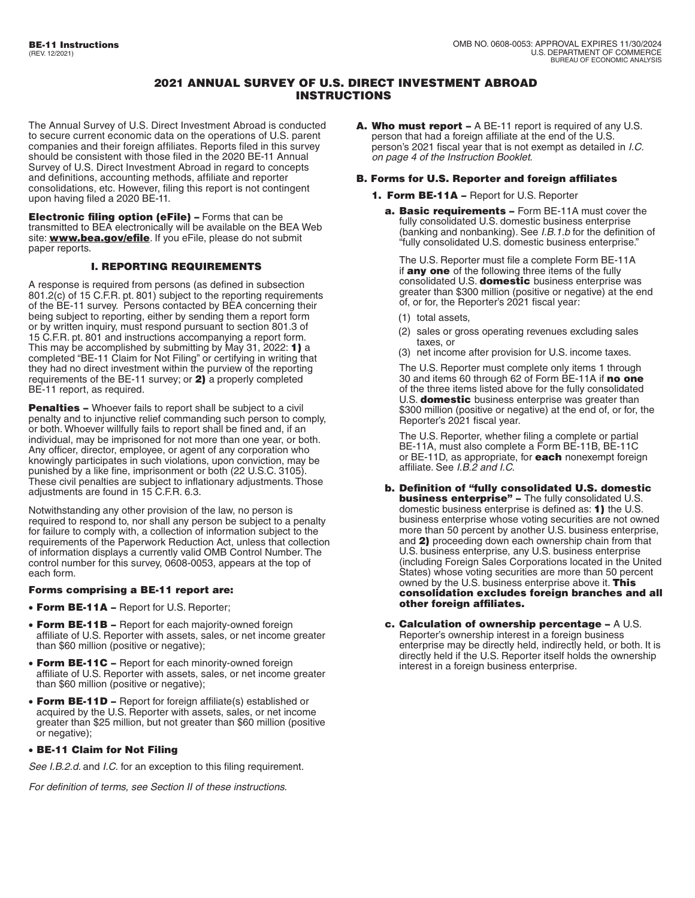# 2021 ANNUAL SURVEY OF U.S. DIRECT INVESTMENT ABROAD INSTRUCTIONS

The Annual Survey of U.S. Direct Investment Abroad is conducted to secure current economic data on the operations of U.S. parent companies and their foreign affiliates. Reports filed in this survey should be consistent with those filed in the 2020 BE-11 Annual Survey of U.S. Direct Investment Abroad in regard to concepts and definitions, accounting methods, affiliate and reporter consolidations, etc. However, filing this report is not contingent upon having filed a 2020 BE-11.

Electronic filing option (eFile) – Forms that can be transmitted to BEA electronically will be available on the BEA Web site: **[www.bea.gov/efile](http://www.bea.gov/efile)**. If you eFile, please do not submit paper reports.

## I. REPORTING REQUIREMENTS

A response is required from persons (as defined in subsection 801.2(c) of 15 C.F.R. pt. 801) subject to the reporting requirements of the BE-11 survey. Persons contacted by BEA concerning their being subject to reporting, either by sending them a report form or by written inquiry, must respond pursuant to section 801.3 of 15 C.F.R. pt. 801 and instructions accompanying a report form. This may be accomplished by submitting by May 31, 2022: 1) a completed "BE-11 Claim for Not Filing" or certifying in writing that they had no direct investment within the purview of the reporting requirements of the BE-11 survey; or 2) a properly completed BE-11 report, as required.

**Penalties -** Whoever fails to report shall be subject to a civil penalty and to injunctive relief commanding such person to comply, or both. Whoever willfully fails to report shall be fined and, if an individual, may be imprisoned for not more than one year, or both. Any officer, director, employee, or agent of any corporation who knowingly participates in such violations, upon conviction, may be punished by a like fine, imprisonment or both (22 U.S.C. 3105). These civil penalties are subject to inflationary adjustments. Those adjustments are found in 15 C.F.R. 6.3.

Notwithstanding any other provision of the law, no person is required to respond to, nor shall any person be subject to a penalty for failure to comply with, a collection of information subject to the requirements of the Paperwork Reduction Act, unless that collection of information displays a currently valid OMB Control Number. The control number for this survey, 0608-0053, appears at the top of each form.

## Forms comprising a BE-11 report are:

- Form BE-11A Report for U.S. Reporter;
- Form BE-11B Report for each majority-owned foreign affiliate of U.S. Reporter with assets, sales, or net income greater than \$60 million (positive or negative);
- Form BE-11C Report for each minority-owned foreign affiliate of U.S. Reporter with assets, sales, or net income greater than \$60 million (positive or negative);
- Form BE-11D Report for foreign affiliate(s) established or acquired by the U.S. Reporter with assets, sales, or net income greater than \$25 million, but not greater than \$60 million (positive or negative);

## • BE-11 Claim for Not Filing

*See I.B.2.d.* and *I.C.* for an exception to this filing requirement.

*For definition of terms, see Section II of these instructions.* 

A. Who must report – A BE-11 report is required of any U.S. person that had a foreign affiliate at the end of the U.S. person's 2021 fiscal year that is not exempt as detailed in *I.C*. *on page 4 of the Instruction Booklet*.

## B. Forms for U.S. Reporter and foreign affiliates

- 1. Form BE-11A Report for U.S. Reporter
	- a. Basic requirements Form BE-11A must cover the fully consolidated U.S. domestic business enterprise (banking and nonbanking). See *I.B.1.b* for the definition of "fully consolidated U.S. domestic business enterprise."

The U.S. Reporter must file a complete Form BE-11A if any one of the following three items of the fully consolidated U.S. domestic business enterprise was greater than \$300 million (positive or negative) at the end of, or for, the Reporter's 2021 fiscal year:

- (1) total assets,
- (2) sales or gross operating revenues excluding sales taxes, or
- (3) net income after provision for U.S. income taxes.

The U.S. Reporter must complete only items 1 through 30 and items 60 through 62 of Form BE-11A if no one of the three items listed above for the fully consolidated U.S. **domestic** business enterprise was greater than \$300 million (positive or negative) at the end of, or for, the Reporter's 2021 fiscal year.

The U.S. Reporter, whether filing a complete or partial BE-11A, must also complete a Form BE-11B, BE-11C or BE-11D, as appropriate, for **each** nonexempt foreign affiliate. See *I.B.2 and I.C.* 

- b. Definition of "fully consolidated U.S. domestic **business enterprise"** - The fully consolidated U.S. domestic business enterprise is defined as: 1) the U.S. business enterprise whose voting securities are not owned more than 50 percent by another U.S. business enterprise, and 2) proceeding down each ownership chain from that U.S. business enterprise, any U.S. business enterprise (including Foreign Sales Corporations located in the United States) whose voting securities are more than 50 percent owned by the U.S. business enterprise above it. This consolidation excludes foreign branches and all other foreign affiliates.
- c. Calculation of ownership percentage A U.S. Reporter's ownership interest in a foreign business enterprise may be directly held, indirectly held, or both. It is directly held if the U.S. Reporter itself holds the ownership interest in a foreign business enterprise.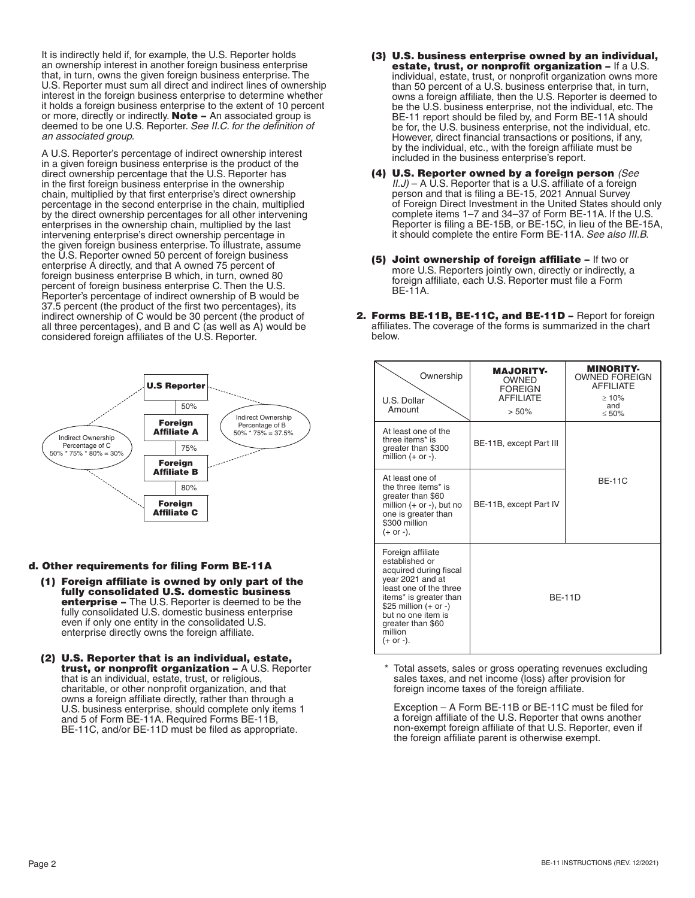It is indirectly held if, for example, the U.S. Reporter holds an ownership interest in another foreign business enterprise that, in turn, owns the given foreign business enterprise. The U.S. Reporter must sum all direct and indirect lines of ownership interest in the foreign business enterprise to determine whether it holds a foreign business enterprise to the extent of 10 percent or more, directly or indirectly. **Note** – An associated group is deemed to be one U.S. Reporter. *See II.C. for the definition of an associated group.* 

A U.S. Reporter's percentage of indirect ownership interest in a given foreign business enterprise is the product of the direct ownership percentage that the U.S. Reporter has in the first foreign business enterprise in the ownership chain, multiplied by that first enterprise's direct ownership percentage in the second enterprise in the chain, multiplied by the direct ownership percentages for all other intervening enterprises in the ownership chain, multiplied by the last intervening enterprise's direct ownership percentage in the given foreign business enterprise. To illustrate, assume the U.S. Reporter owned 50 percent of foreign business enterprise A directly, and that A owned 75 percent of foreign business enterprise B which, in turn, owned 80 percent of foreign business enterprise C. Then the U.S. Reporter's percentage of indirect ownership of B would be 37.5 percent (the product of the first two percentages), its indirect ownership of C would be 30 percent (the product of all three percentages), and B and C (as well as A) would be considered foreign affiliates of the U.S. Reporter.



### d. Other requirements for filing Form BE-11A

- (1) Foreign affiliate is owned by only part of the fully consolidated U.S. domestic business enterprise – The U.S. Reporter is deemed to be the fully consolidated U.S. domestic business enterprise even if only one entity in the consolidated U.S. enterprise directly owns the foreign affiliate.
- (2) U.S. Reporter that is an individual, estate, trust, or nonprofit organization - A U.S. Reporter that is an individual, estate, trust, or religious, charitable, or other nonprofit organization, and that owns a foreign affiliate directly, rather than through a U.S. business enterprise, should complete only items 1 and 5 of Form BE-11A. Required Forms BE-11B, BE-11C, and/or BE-11D must be filed as appropriate.
- (3) U.S. business enterprise owned by an individual, estate, trust, or nonprofit organization – If a U.S. individual, estate, trust, or nonprofit organization owns more than 50 percent of a U.S. business enterprise that, in turn, owns a foreign affiliate, then the U.S. Reporter is deemed to be the U.S. business enterprise, not the individual, etc. The BE-11 report should be filed by, and Form BE-11A should be for, the U.S. business enterprise, not the individual, etc. However, direct financial transactions or positions, if any, by the individual, etc., with the foreign affiliate must be included in the business enterprise's report.
- (4) U.S. Reporter owned by a foreign person *(See II.J*) – A U.S. Reporter that is a U.S. affiliate of a foreign person and that is filing a BE-15, 2021 Annual Survey of Foreign Direct Investment in the United States should only complete items 1–7 and 34–37 of Form BE-11A. If the U.S. Reporter is filing a BE-15B, or BE-15C, in lieu of the BE-15A, it should complete the entire Form BE-11A. *See also III.B.*
- (5) Joint ownership of foreign affiliate If two or more U.S. Reporters jointly own, directly or indirectly, a foreign affiliate, each U.S. Reporter must file a Form BE-11A.
- 2. Forms BE-11B, BE-11C, and BE-11D Report for foreign affiliates. The coverage of the forms is summarized in the chart below.

| Ownership<br>U.S. Dollar<br>Amount                                                                                                                                                                                                    | <b>MAJORITY-</b><br><b>OWNED</b><br><b>FOREIGN</b><br><b>AFFILIATE</b><br>> 50% | <b>MINORITY-</b><br><b>OWNED FOREIGN</b><br><b>AFFILIATE</b><br>$\geq 10\%$<br>and<br>$\leq 50\%$ |
|---------------------------------------------------------------------------------------------------------------------------------------------------------------------------------------------------------------------------------------|---------------------------------------------------------------------------------|---------------------------------------------------------------------------------------------------|
| At least one of the<br>three items* is<br>greater than \$300<br>million $(+ or -)$ .                                                                                                                                                  | BE-11B, except Part III                                                         |                                                                                                   |
| At least one of<br>the three items* is<br>greater than \$60<br>million $(+ or -)$ , but no<br>one is greater than<br>\$300 million<br>$(+ or -).$                                                                                     | BE-11B, except Part IV                                                          | <b>BF-11C</b>                                                                                     |
| Foreign affiliate<br>established or<br>acquired during fiscal<br>year 2021 and at<br>least one of the three<br>items* is greater than<br>\$25 million $(+ or -)$<br>but no one item is<br>greater than \$60<br>million<br>$(+ or -).$ | <b>BF-11D</b>                                                                   |                                                                                                   |

 \* Total assets, sales or gross operating revenues excluding sales taxes, and net income (loss) after provision for foreign income taxes of the foreign affiliate.

Exception – A Form BE-11B or BE-11C must be filed for a foreign affiliate of the U.S. Reporter that owns another non-exempt foreign affiliate of that U.S. Reporter, even if the foreign affiliate parent is otherwise exempt.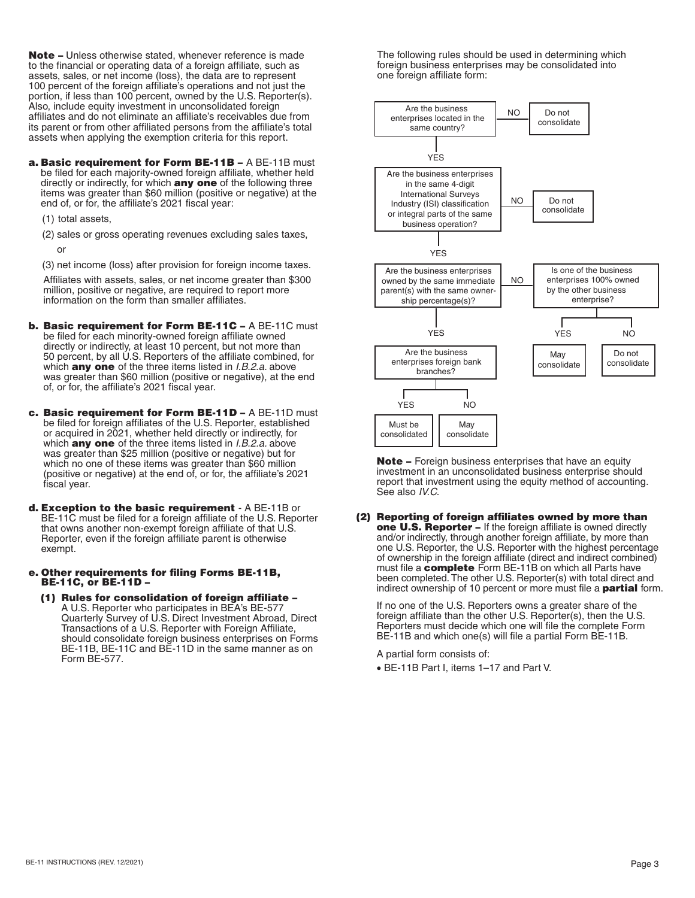Note – Unless otherwise stated, whenever reference is made to the financial or operating data of a foreign affiliate, such as assets, sales, or net income (loss), the data are to represent 100 percent of the foreign affiliate's operations and not just the portion, if less than 100 percent, owned by the U.S. Reporter(s). Also, include equity investment in unconsolidated foreign affiliates and do not eliminate an affiliate's receivables due from its parent or from other affiliated persons from the affiliate's total assets when applying the exemption criteria for this report.

a. Basic requirement for Form BE-11B - A BE-11B must be filed for each majority-owned foreign affiliate, whether held directly or indirectly, for which **any one** of the following three items was greater than \$60 million (positive or negative) at the end of, or for, the affiliate's 2021 fiscal year:

(1) total assets,

(2) sales or gross operating revenues excluding sales taxes,

or

(3) net income (loss) after provision for foreign income taxes.

Affiliates with assets, sales, or net income greater than \$300 million, positive or negative, are required to report more information on the form than smaller affiliates.

- b. Basic requirement for Form BE-11C A BE-11C must be filed for each minority-owned foreign affiliate owned directly or indirectly, at least 10 percent, but not more than 50 percent, by all U.S. Reporters of the affiliate combined, for which any one of the three items listed in *I.B.2.a.* above was greater than \$60 million (positive or negative), at the end of, or for, the affiliate's 2021 fiscal year.
- c. Basic requirement for Form BE-11D A BE-11D must be filed for foreign affiliates of the U.S. Reporter, established or acquired in 2021, whether held directly or indirectly, for which any one of the three items listed in *I.B.2.a.* above was greater than \$25 million (positive or negative) but for which no one of these items was greater than \$60 million (positive or negative) at the end of, or for, the affiliate's 2021 fiscal year.
- d. Exception to the basic requirement A BE-11B or BE-11C must be filed for a foreign affiliate of the U.S. Reporter that owns another non-exempt foreign affiliate of that U.S. Reporter, even if the foreign affiliate parent is otherwise exempt.
- e. Other requirements for filing Forms BE-11B, BE-11C, or BE-11D –
	- (1) Rules for consolidation of foreign affiliate A U.S. Reporter who participates in BEA's BE-577 Quarterly Survey of U.S. Direct Investment Abroad, Direct Transactions of a U.S. Reporter with Foreign Affiliate, should consolidate foreign business enterprises on Forms BE-11B, BE-11C and BE-11D in the same manner as on Form BE-577.

The following rules should be used in determining which foreign business enterprises may be consolidated into one foreign affiliate form:



Note - Foreign business enterprises that have an equity investment in an unconsolidated business enterprise should report that investment using the equity method of accounting. See also *IV.C.* 

(2) Reporting of foreign affiliates owned by more than one U.S. Reporter - If the foreign affiliate is owned directly and/or indirectly, through another foreign affiliate, by more than one U.S. Reporter, the U.S. Reporter with the highest percentage of ownership in the foreign affiliate (direct and indirect combined) must file a **complete** Form BE-11B on which all Parts have been completed. The other U.S. Reporter(s) with total direct and indirect ownership of 10 percent or more must file a **partial** form.

If no one of the U.S. Reporters owns a greater share of the foreign affiliate than the other U.S. Reporter(s), then the U.S. Reporters must decide which one will file the complete Form BE-11B and which one(s) will file a partial Form BE-11B.

A partial form consists of:

• BE-11B Part I, items 1–17 and Part V.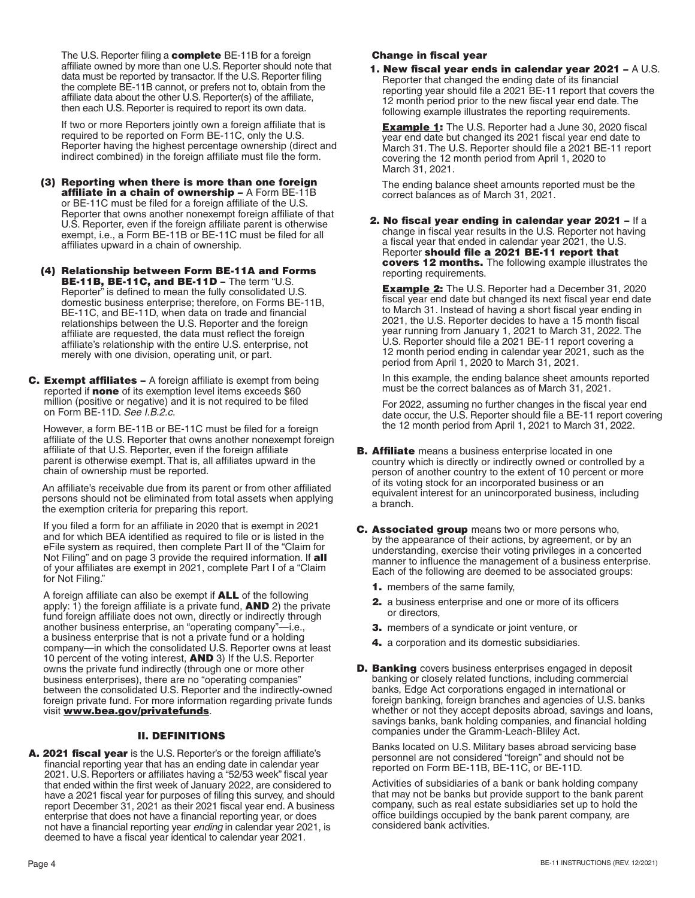The U.S. Reporter filing a **complete** BE-11B for a foreign affiliate owned by more than one U.S. Reporter should note that data must be reported by transactor. If the U.S. Reporter filing the complete BE-11B cannot, or prefers not to, obtain from the affiliate data about the other U.S. Reporter(s) of the affiliate, then each U.S. Reporter is required to report its own data.

If two or more Reporters jointly own a foreign affiliate that is required to be reported on Form BE-11C, only the U.S. Reporter having the highest percentage ownership (direct and indirect combined) in the foreign affiliate must file the form.

- (3) Reporting when there is more than one foreign affiliate in a chain of ownership – A Form BE-11B or BE-11C must be filed for a foreign affiliate of the U.S. Reporter that owns another nonexempt foreign affiliate of that U.S. Reporter, even if the foreign affiliate parent is otherwise exempt, i.e., a Form BE-11B or BE-11C must be filed for all affiliates upward in a chain of ownership.
- (4) Relationship between Form BE-11A and Forms BE-11B, BE-11C, and BE-11D - The term "U.S. Reporter" is defined to mean the fully consolidated U.S. domestic business enterprise; therefore, on Forms BE-11B, BE-11C, and BE-11D, when data on trade and financial relationships between the U.S. Reporter and the foreign affiliate are requested, the data must reflect the foreign affiliate's relationship with the entire U.S. enterprise, not merely with one division, operating unit, or part.
- C. Exempt affiliates A foreign affiliate is exempt from being reported if **none** of its exemption level items exceeds \$60 million (positive or negative) and it is not required to be filed on Form BE-11D. *See I.B.2.c.*

However, a form BE-11B or BE-11C must be filed for a foreign affiliate of the U.S. Reporter that owns another nonexempt foreign affiliate of that U.S. Reporter, even if the foreign affiliate parent is otherwise exempt. That is, all affiliates upward in the chain of ownership must be reported.

An affiliate's receivable due from its parent or from other affiliated persons should not be eliminated from total assets when applying the exemption criteria for preparing this report.

If you filed a form for an affiliate in 2020 that is exempt in 2021 and for which BEA identified as required to file or is listed in the eFile system as required, then complete Part II of the "Claim for Not Filing" and on page 3 provide the required information. If all of your affiliates are exempt in 2021, complete Part I of a "Claim for Not Filing."

A foreign affiliate can also be exempt if ALL of the following apply: 1) the foreign affiliate is a private fund, **AND** 2) the private fund foreign affiliate does not own, directly or indirectly through another business enterprise, an "operating company"—i.e., a business enterprise that is not a private fund or a holding company—in which the consolidated U.S. Reporter owns at least 10 percent of the voting interest, AND 3) If the U.S. Reporter owns the private fund indirectly (through one or more other business enterprises), there are no "operating companies" between the consolidated U.S. Reporter and the indirectly-owned foreign private fund. For more information regarding private funds visit **[www.bea.gov/privatefunds](http://www.bea.gov/privatefunds)**.

# II. DEFINITIONS

A. 2021 fiscal year is the U.S. Reporter's or the foreign affiliate's financial reporting year that has an ending date in calendar year 2021. U.S. Reporters or affiliates having a "52/53 week" fiscal year that ended within the first week of January 2022, are considered to have a 2021 fiscal year for purposes of filing this survey, and should report December 31, 2021 as their 2021 fiscal year end. A business enterprise that does not have a financial reporting year, or does not have a financial reporting year *ending* in calendar year 2021, is deemed to have a fiscal year identical to calendar year 2021.

# Change in fiscal year

1. New fiscal year ends in calendar year 2021 – A U.S. Reporter that changed the ending date of its financial reporting year should file a 2021 BE-11 report that covers the 12 month period prior to the new fiscal year end date. The following example illustrates the reporting requirements.

**Example 1:** The U.S. Reporter had a June 30, 2020 fiscal year end date but changed its 2021 fiscal year end date to March 31. The U.S. Reporter should file a 2021 BE-11 report covering the 12 month period from April 1, 2020 to March 31, 2021.

The ending balance sheet amounts reported must be the correct balances as of March 31, 2021.

2. No fiscal year ending in calendar year 2021 – If a change in fiscal year results in the U.S. Reporter not having a fiscal year that ended in calendar year 2021, the U.S. Reporter should file a 2021 BE-11 report that covers 12 months. The following example illustrates the reporting requirements.

**Example 2:** The U.S. Reporter had a December 31, 2020 fiscal year end date but changed its next fiscal year end date to March 31. Instead of having a short fiscal year ending in 2021, the U.S. Reporter decides to have a 15 month fiscal year running from January 1, 2021 to March 31, 2022. The U.S. Reporter should file a 2021 BE-11 report covering a 12 month period ending in calendar year 2021, such as the period from April 1, 2020 to March 31, 2021.

In this example, the ending balance sheet amounts reported must be the correct balances as of March 31, 2021.

For 2022, assuming no further changes in the fiscal year end date occur, the U.S. Reporter should file a BE-11 report covering the 12 month period from April 1, 2021 to March 31, 2022.

- **B. Affiliate** means a business enterprise located in one country which is directly or indirectly owned or controlled by a person of another country to the extent of 10 percent or more of its voting stock for an incorporated business or an equivalent interest for an unincorporated business, including a branch.
- **C. Associated group** means two or more persons who, by the appearance of their actions, by agreement, or by an understanding, exercise their voting privileges in a concerted manner to influence the management of a business enterprise. Each of the following are deemed to be associated groups:
	- 1. members of the same family,
	- 2. a business enterprise and one or more of its officers or directors,
	- **3.** members of a syndicate or joint venture, or
	- 4. a corporation and its domestic subsidiaries.
- **D. Banking** covers business enterprises engaged in deposit banking or closely related functions, including commercial banks, Edge Act corporations engaged in international or foreign banking, foreign branches and agencies of U.S. banks whether or not they accept deposits abroad, savings and loans, savings banks, bank holding companies, and financial holding companies under the Gramm-Leach-Bliley Act.

Banks located on U.S. Military bases abroad servicing base personnel are not considered "foreign" and should not be reported on Form BE-11B, BE-11C, or BE-11D.

Activities of subsidiaries of a bank or bank holding company that may not be banks but provide support to the bank parent company, such as real estate subsidiaries set up to hold the office buildings occupied by the bank parent company, are considered bank activities.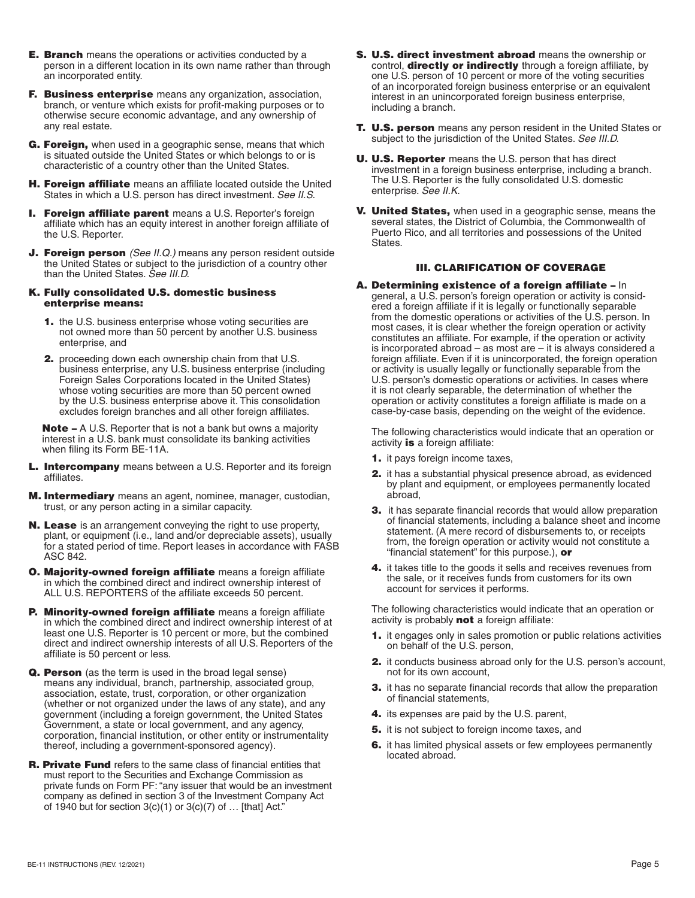- **E. Branch** means the operations or activities conducted by a person in a different location in its own name rather than through an incorporated entity.
- F. Business enterprise means any organization, association, branch, or venture which exists for profit-making purposes or to otherwise secure economic advantage, and any ownership of any real estate.
- G. Foreign, when used in a geographic sense, means that which is situated outside the United States or which belongs to or is characteristic of a country other than the United States.
- **H. Foreign affiliate** means an affiliate located outside the United States in which a U.S. person has direct investment. *See II.S.*
- **I. Foreign affiliate parent** means a U.S. Reporter's foreign affiliate which has an equity interest in another foreign affiliate of the U.S. Reporter.
- **J. Foreign person** *(See II.Q.)* means any person resident outside the United States or subject to the jurisdiction of a country other than the United States. *See III.D.*

### K. Fully consolidated U.S. domestic business enterprise means:

- 1. the U.S. business enterprise whose voting securities are not owned more than 50 percent by another U.S. business enterprise, and
- **2.** proceeding down each ownership chain from that U.S. business enterprise, any U.S. business enterprise (including Foreign Sales Corporations located in the United States) whose voting securities are more than 50 percent owned by the U.S. business enterprise above it. This consolidation excludes foreign branches and all other foreign affiliates.

Note – A U.S. Reporter that is not a bank but owns a majority interest in a U.S. bank must consolidate its banking activities when filing its Form BE-11A.

- L. Intercompany means between a U.S. Reporter and its foreign affiliates.
- **M. Intermediary** means an agent, nominee, manager, custodian, trust, or any person acting in a similar capacity.
- N. Lease is an arrangement conveying the right to use property, plant, or equipment (i.e., land and/or depreciable assets), usually for a stated period of time. Report leases in accordance with FASB ASC 842.
- O. Majority-owned foreign affiliate means a foreign affiliate in which the combined direct and indirect ownership interest of ALL U.S. REPORTERS of the affiliate exceeds 50 percent.
- P. Minority-owned foreign affiliate means a foreign affiliate in which the combined direct and indirect ownership interest of at least one U.S. Reporter is 10 percent or more, but the combined direct and indirect ownership interests of all U.S. Reporters of the affiliate is 50 percent or less.
- Q. Person (as the term is used in the broad legal sense) means any individual, branch, partnership, associated group, association, estate, trust, corporation, or other organization (whether or not organized under the laws of any state), and any government (including a foreign government, the United States Government, a state or local government, and any agency, corporation, financial institution, or other entity or instrumentality thereof, including a government-sponsored agency).
- **R. Private Fund** refers to the same class of financial entities that must report to the Securities and Exchange Commission as private funds on Form PF: "any issuer that would be an investment company as defined in section 3 of the Investment Company Act of 1940 but for section  $3(c)(1)$  or  $3(c)(7)$  of  $\dots$  [that] Act."
- S. U.S. direct investment abroad means the ownership or control, **directly or indirectly** through a foreign affiliate, by one U.S. person of 10 percent or more of the voting securities of an incorporated foreign business enterprise or an equivalent interest in an unincorporated foreign business enterprise, including a branch.
- **T. U.S. person** means any person resident in the United States or subject to the jurisdiction of the United States. *See III.D.*
- U. U.S. Reporter means the U.S. person that has direct investment in a foreign business enterprise, including a branch. The U.S. Reporter is the fully consolidated U.S. domestic enterprise. *See II.K.*
- V. United States, when used in a geographic sense, means the several states, the District of Columbia, the Commonwealth of Puerto Rico, and all territories and possessions of the United States.

# III. CLARIFICATION OF COVERAGE

A. Determining existence of a foreign affiliate – In general, a U.S. person's foreign operation or activity is considered a foreign affiliate if it is legally or functionally separable from the domestic operations or activities of the U.S. person. In most cases, it is clear whether the foreign operation or activity constitutes an affiliate. For example, if the operation or activity is incorporated abroad – as most are – it is always considered a foreign affiliate. Even if it is unincorporated, the foreign operation or activity is usually legally or functionally separable from the U.S. person's domestic operations or activities. In cases where it is not clearly separable, the determination of whether the operation or activity constitutes a foreign affiliate is made on a case-by-case basis, depending on the weight of the evidence.

The following characteristics would indicate that an operation or activity is a foreign affiliate:

- 1. it pays foreign income taxes,
- 2. it has a substantial physical presence abroad, as evidenced by plant and equipment, or employees permanently located abroad,
- 3. it has separate financial records that would allow preparation of financial statements, including a balance sheet and income statement. (A mere record of disbursements to, or receipts from, the foreign operation or activity would not constitute a "financial statement" for this purpose.), or
- 4. it takes title to the goods it sells and receives revenues from the sale, or it receives funds from customers for its own account for services it performs.

The following characteristics would indicate that an operation or activity is probably **not** a foreign affiliate:

- 1. it engages only in sales promotion or public relations activities on behalf of the U.S. person,
- 2. it conducts business abroad only for the U.S. person's account, not for its own account,
- 3. it has no separate financial records that allow the preparation of financial statements,
- 4. its expenses are paid by the U.S. parent,
- 5. it is not subject to foreign income taxes, and
- 6. it has limited physical assets or few employees permanently located abroad.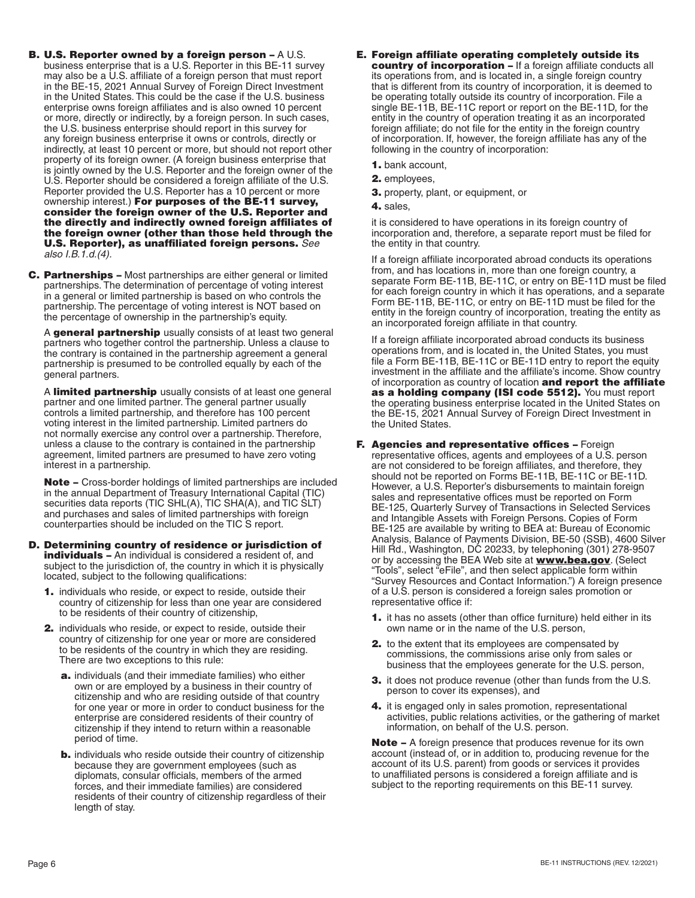- B. U.S. Reporter owned by a foreign person A U.S. business enterprise that is a U.S. Reporter in this BE-11 survey may also be a U.S. affiliate of a foreign person that must report in the BE-15, 2021 Annual Survey of Foreign Direct Investment in the United States. This could be the case if the U.S. business enterprise owns foreign affiliates and is also owned 10 percent or more, directly or indirectly, by a foreign person. In such cases, the U.S. business enterprise should report in this survey for any foreign business enterprise it owns or controls, directly or indirectly, at least 10 percent or more, but should not report other property of its foreign owner. (A foreign business enterprise that is jointly owned by the U.S. Reporter and the foreign owner of the U.S. Reporter should be considered a foreign affiliate of the U.S. Reporter provided the U.S. Reporter has a 10 percent or more ownership interest.) For purposes of the BE-11 survey, consider the foreign owner of the U.S. Reporter and the directly and indirectly owned foreign affiliates of the foreign owner (other than those held through the U.S. Reporter), as unaffiliated foreign persons. *See also I.B.1.d.(4).*
- C. Partnerships Most partnerships are either general or limited partnerships. The determination of percentage of voting interest in a general or limited partnership is based on who controls the partnership. The percentage of voting interest is NOT based on the percentage of ownership in the partnership's equity.

A general partnership usually consists of at least two general partners who together control the partnership. Unless a clause to the contrary is contained in the partnership agreement a general partnership is presumed to be controlled equally by each of the general partners.

A limited partnership usually consists of at least one general partner and one limited partner. The general partner usually controls a limited partnership, and therefore has 100 percent voting interest in the limited partnership. Limited partners do not normally exercise any control over a partnership. Therefore, unless a clause to the contrary is contained in the partnership agreement, limited partners are presumed to have zero voting interest in a partnership.

Note – Cross-border holdings of limited partnerships are included in the annual Department of Treasury International Capital (TIC) securities data reports (TIC SHL(A), TIC SHA(A), and TIC SLT) and purchases and sales of limited partnerships with foreign counterparties should be included on the TIC S report.

- D. Determining country of residence or jurisdiction of **individuals -** An individual is considered a resident of, and subject to the jurisdiction of, the country in which it is physically located, subject to the following qualifications:
	- 1. individuals who reside, or expect to reside, outside their country of citizenship for less than one year are considered to be residents of their country of citizenship,
	- 2. individuals who reside, or expect to reside, outside their country of citizenship for one year or more are considered to be residents of the country in which they are residing. There are two exceptions to this rule:
		- a. individuals (and their immediate families) who either own or are employed by a business in their country of citizenship and who are residing outside of that country for one year or more in order to conduct business for the enterprise are considered residents of their country of citizenship if they intend to return within a reasonable period of time.
		- **b.** individuals who reside outside their country of citizenship because they are government employees (such as diplomats, consular officials, members of the armed forces, and their immediate families) are considered residents of their country of citizenship regardless of their length of stay.
- E. Foreign affiliate operating completely outside its country of incorporation – If a foreign affiliate conducts all its operations from, and is located in, a single foreign country that is different from its country of incorporation, it is deemed to be operating totally outside its country of incorporation. File a single BE-11B, BE-11C report or report on the BE-11D, for the entity in the country of operation treating it as an incorporated foreign affiliate; do not file for the entity in the foreign country of incorporation. If, however, the foreign affiliate has any of the following in the country of incorporation:
	- 1. bank account,
	- 2. employees,
	- 3. property, plant, or equipment, or
	- 4. sales,

it is considered to have operations in its foreign country of incorporation and, therefore, a separate report must be filed for the entity in that country.

If a foreign affiliate incorporated abroad conducts its operations from, and has locations in, more than one foreign country, a separate Form BE-11B, BE-11C, or entry on BE-11D must be filed for each foreign country in which it has operations, and a separate Form BE-11B, BE-11C, or entry on BE-11D must be filed for the entity in the foreign country of incorporation, treating the entity as an incorporated foreign affiliate in that country.

If a foreign affiliate incorporated abroad conducts its business operations from, and is located in, the United States, you must file a Form BE-11B, BE-11C or BE-11D entry to report the equity investment in the affiliate and the affiliate's income. Show country of incorporation as country of location and report the affiliate as a holding company (ISI code 5512). You must report the operating business enterprise located in the United States on the BE-15, 2021 Annual Survey of Foreign Direct Investment in the United States.

- F. Agencies and representative offices Foreign representative offices, agents and employees of a U.S. person are not considered to be foreign affiliates, and therefore, they should not be reported on Forms BE-11B, BE-11C or BE-11D. However, a U.S. Reporter's disbursements to maintain foreign sales and representative offices must be reported on Form BE-125, Quarterly Survey of Transactions in Selected Services and Intangible Assets with Foreign Persons. Copies of Form BE-125 are available by writing to BEA at: Bureau of Economic Analysis, Balance of Payments Division, BE-50 (SSB), 4600 Silver Hill Rd., Washington, DC 20233, by telephoning (301) 278-9507 or by accessing the BEA Web site at **[www.bea.gov](http://www.bea.gov)**. (Select "Tools", select "eFile", and then select applicable form within "Survey Resources and Contact Information.") A foreign presence of a U.S. person is considered a foreign sales promotion or representative office if:
	- 1. it has no assets (other than office furniture) held either in its own name or in the name of the U.S. person,
	- 2. to the extent that its employees are compensated by commissions, the commissions arise only from sales or business that the employees generate for the U.S. person,
	- 3. it does not produce revenue (other than funds from the U.S. person to cover its expenses), and
	- 4. it is engaged only in sales promotion, representational activities, public relations activities, or the gathering of market information, on behalf of the U.S. person.

**Note –** A foreign presence that produces revenue for its own account (instead of, or in addition to, producing revenue for the account of its U.S. parent) from goods or services it provides to unaffiliated persons is considered a foreign affiliate and is subject to the reporting requirements on this BE-11 survey.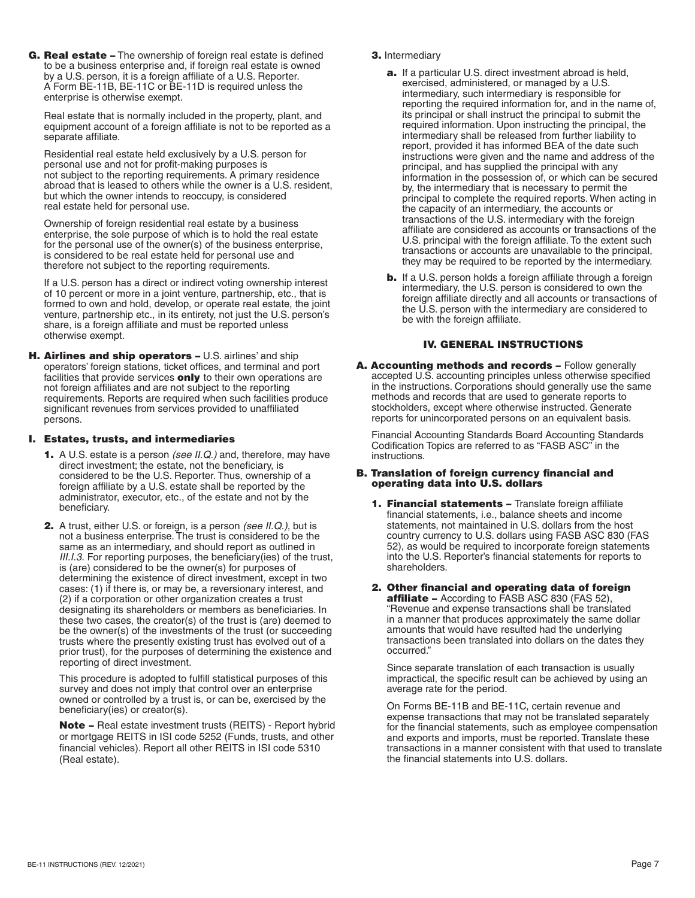G. Real estate – The ownership of foreign real estate is defined to be a business enterprise and, if foreign real estate is owned by a U.S. person, it is a foreign affiliate of a U.S. Reporter. A Form BE-11B, BE-11C or BE-11D is required unless the enterprise is otherwise exempt.

Real estate that is normally included in the property, plant, and equipment account of a foreign affiliate is not to be reported as a separate affiliate.

Residential real estate held exclusively by a U.S. person for personal use and not for profit-making purposes is not subject to the reporting requirements. A primary residence abroad that is leased to others while the owner is a U.S. resident, but which the owner intends to reoccupy, is considered real estate held for personal use.

Ownership of foreign residential real estate by a business enterprise, the sole purpose of which is to hold the real estate for the personal use of the owner(s) of the business enterprise, is considered to be real estate held for personal use and therefore not subject to the reporting requirements.

If a U.S. person has a direct or indirect voting ownership interest of 10 percent or more in a joint venture, partnership, etc., that is formed to own and hold, develop, or operate real estate, the joint venture, partnership etc., in its entirety, not just the U.S. person's share, is a foreign affiliate and must be reported unless otherwise exempt.

H. Airlines and ship operators - U.S. airlines' and ship operators' foreign stations, ticket offices, and terminal and port facilities that provide services **only** to their own operations are not foreign affiliates and are not subject to the reporting requirements. Reports are required when such facilities produce significant revenues from services provided to unaffiliated persons.

## I. Estates, trusts, and intermediaries

- 1. A U.S. estate is a person *(see II.Q.)* and, therefore, may have direct investment; the estate, not the beneficiary, is considered to be the U.S. Reporter. Thus, ownership of a foreign affiliate by a U.S. estate shall be reported by the administrator, executor, etc., of the estate and not by the beneficiary.
- 2. A trust, either U.S. or foreign, is a person *(see II.Q.)*, but is not a business enterprise. The trust is considered to be the same as an intermediary, and should report as outlined in *III.I.3.* For reporting purposes, the beneficiary(ies) of the trust, is (are) considered to be the owner(s) for purposes of determining the existence of direct investment, except in two cases: (1) if there is, or may be, a reversionary interest, and (2) if a corporation or other organization creates a trust designating its shareholders or members as beneficiaries. In these two cases, the creator(s) of the trust is (are) deemed to be the owner(s) of the investments of the trust (or succeeding trusts where the presently existing trust has evolved out of a prior trust), for the purposes of determining the existence and reporting of direct investment.

This procedure is adopted to fulfill statistical purposes of this survey and does not imply that control over an enterprise owned or controlled by a trust is, or can be, exercised by the beneficiary(ies) or creator(s).

Note – Real estate investment trusts (REITS) - Report hybrid or mortgage REITS in ISI code 5252 (Funds, trusts, and other financial vehicles). Report all other REITS in ISI code 5310 (Real estate).

## 3. Intermediary

- a. If a particular U.S. direct investment abroad is held, exercised, administered, or managed by a U.S. intermediary, such intermediary is responsible for reporting the required information for, and in the name of, its principal or shall instruct the principal to submit the required information. Upon instructing the principal, the intermediary shall be released from further liability to report, provided it has informed BEA of the date such instructions were given and the name and address of the principal, and has supplied the principal with any information in the possession of, or which can be secured by, the intermediary that is necessary to permit the principal to complete the required reports. When acting in the capacity of an intermediary, the accounts or transactions of the U.S. intermediary with the foreign affiliate are considered as accounts or transactions of the U.S. principal with the foreign affiliate. To the extent such transactions or accounts are unavailable to the principal, they may be required to be reported by the intermediary.
- **b.** If a U.S. person holds a foreign affiliate through a foreign intermediary, the U.S. person is considered to own the foreign affiliate directly and all accounts or transactions of the U.S. person with the intermediary are considered to be with the foreign affiliate.

# IV. GENERAL INSTRUCTIONS

A. Accounting methods and records - Follow generally accepted U.S. accounting principles unless otherwise specified in the instructions. Corporations should generally use the same methods and records that are used to generate reports to stockholders, except where otherwise instructed. Generate reports for unincorporated persons on an equivalent basis.

Financial Accounting Standards Board Accounting Standards Codification Topics are referred to as "FASB ASC" in the instructions.

### B. Translation of foreign currency financial and operating data into U.S. dollars

- 1. Financial statements Translate foreign affiliate financial statements, i.e., balance sheets and income statements, not maintained in U.S. dollars from the host country currency to U.S. dollars using FASB ASC 830 (FAS 52), as would be required to incorporate foreign statements into the U.S. Reporter's financial statements for reports to shareholders.
- 2. Other financial and operating data of foreign **affiliate –** According to FASB ASC 830 (FAS 52), "Revenue and expense transactions shall be translated in a manner that produces approximately the same dollar amounts that would have resulted had the underlying transactions been translated into dollars on the dates they occurred."

Since separate translation of each transaction is usually impractical, the specific result can be achieved by using an average rate for the period.

On Forms BE-11B and BE-11C, certain revenue and expense transactions that may not be translated separately for the financial statements, such as employee compensation and exports and imports, must be reported. Translate these transactions in a manner consistent with that used to translate the financial statements into U.S. dollars.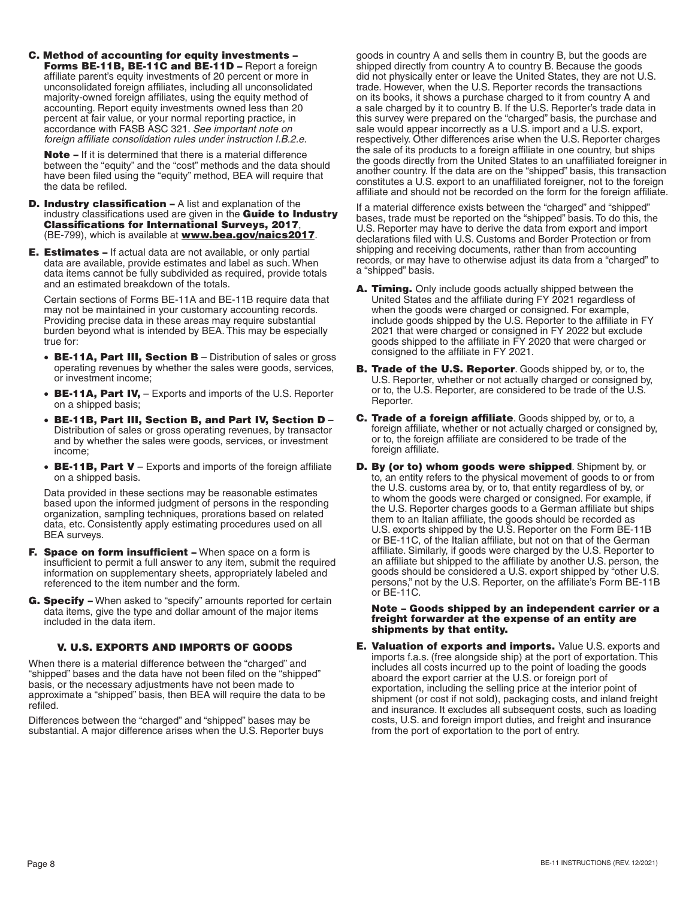C. Method of accounting for equity investments – Forms BE-11B, BE-11C and BE-11D - Report a foreign affiliate parent's equity investments of 20 percent or more in unconsolidated foreign affiliates, including all unconsolidated majority-owned foreign affiliates, using the equity method of accounting. Report equity investments owned less than 20 percent at fair value, or your normal reporting practice, in accordance with FASB ASC 321. *See important note on foreign affiliate consolidation rules under instruction I.B.2.e.* 

Note - If it is determined that there is a material difference between the "equity" and the "cost" methods and the data should have been filed using the "equity" method, BEA will require that the data be refiled.

- D. Industry classification A list and explanation of the industry classifications used are given in the **Guide to Industry** Classifications for International Surveys, 2017, (BE-799), which is available at **[www.bea.gov/naics2017](http://www.bea.gov/naics2017)**.
- **E. Estimates –** If actual data are not available, or only partial data are available, provide estimates and label as such. When data items cannot be fully subdivided as required, provide totals and an estimated breakdown of the totals.

Certain sections of Forms BE-11A and BE-11B require data that may not be maintained in your customary accounting records. Providing precise data in these areas may require substantial burden beyond what is intended by BEA. This may be especially true for:

- BE-11A, Part III, Section B Distribution of sales or gross operating revenues by whether the sales were goods, services, or investment income;
- BE-11A, Part IV, Exports and imports of the U.S. Reporter on a shipped basis;
- BE-11B, Part III, Section B, and Part IV, Section D Distribution of sales or gross operating revenues, by transactor and by whether the sales were goods, services, or investment income;
- BE-11B, Part V Exports and imports of the foreign affiliate on a shipped basis.

Data provided in these sections may be reasonable estimates based upon the informed judgment of persons in the responding organization, sampling techniques, prorations based on related data, etc. Consistently apply estimating procedures used on all BEA surveys.

- F. Space on form insufficient When space on a form is insufficient to permit a full answer to any item, submit the required information on supplementary sheets, appropriately labeled and referenced to the item number and the form.
- G. Specify When asked to "specify" amounts reported for certain data items, give the type and dollar amount of the major items included in the data item.

### V. U.S. EXPORTS AND IMPORTS OF GOODS

When there is a material difference between the "charged" and "shipped" bases and the data have not been filed on the "shipped" basis, or the necessary adjustments have not been made to approximate a "shipped" basis, then BEA will require the data to be refiled.

Differences between the "charged" and "shipped" bases may be substantial. A major difference arises when the U.S. Reporter buys goods in country A and sells them in country B, but the goods are shipped directly from country A to country B. Because the goods did not physically enter or leave the United States, they are not U.S. trade. However, when the U.S. Reporter records the transactions on its books, it shows a purchase charged to it from country A and a sale charged by it to country B. If the U.S. Reporter's trade data in this survey were prepared on the "charged" basis, the purchase and sale would appear incorrectly as a U.S. import and a U.S. export, respectively. Other differences arise when the U.S. Reporter charges the sale of its products to a foreign affiliate in one country, but ships the goods directly from the United States to an unaffiliated foreigner in another country. If the data are on the "shipped" basis, this transaction constitutes a U.S. export to an unaffiliated foreigner, not to the foreign affiliate and should not be recorded on the form for the foreign affiliate.

If a material difference exists between the "charged" and "shipped" bases, trade must be reported on the "shipped" basis. To do this, the U.S. Reporter may have to derive the data from export and import declarations filed with U.S. Customs and Border Protection or from shipping and receiving documents, rather than from accounting records, or may have to otherwise adjust its data from a "charged" to a "shipped" basis.

- A. Timing. Only include goods actually shipped between the United States and the affiliate during FY 2021 regardless of when the goods were charged or consigned. For example, include goods shipped by the U.S. Reporter to the affiliate in FY 2021 that were charged or consigned in FY 2022 but exclude goods shipped to the affiliate in FY 2020 that were charged or consigned to the affiliate in FY 2021.
- **B. Trade of the U.S. Reporter**. Goods shipped by, or to, the U.S. Reporter, whether or not actually charged or consigned by, or to, the U.S. Reporter, are considered to be trade of the U.S. Reporter.
- C. Trade of a foreign affiliate. Goods shipped by, or to, a foreign affiliate, whether or not actually charged or consigned by, or to, the foreign affiliate are considered to be trade of the foreign affiliate.
- D. By (or to) whom goods were shipped. Shipment by, or to, an entity refers to the physical movement of goods to or from the U.S. customs area by, or to, that entity regardless of by, or to whom the goods were charged or consigned. For example, if the U.S. Reporter charges goods to a German affiliate but ships them to an Italian affiliate, the goods should be recorded as U.S. exports shipped by the U.S. Reporter on the Form BE-11B or BE-11C, of the Italian affiliate, but not on that of the German affiliate. Similarly, if goods were charged by the U.S. Reporter to an affiliate but shipped to the affiliate by another U.S. person, the goods should be considered a U.S. export shipped by "other U.S. persons," not by the U.S. Reporter, on the affiliate's Form BE-11B or BE-11C.

#### Note – Goods shipped by an independent carrier or a freight forwarder at the expense of an entity are shipments by that entity.

**E. Valuation of exports and imports.** Value U.S. exports and imports f.a.s. (free alongside ship) at the port of exportation. This includes all costs incurred up to the point of loading the goods aboard the export carrier at the U.S. or foreign port of exportation, including the selling price at the interior point of shipment (or cost if not sold), packaging costs, and inland freight and insurance. It excludes all subsequent costs, such as loading costs, U.S. and foreign import duties, and freight and insurance from the port of exportation to the port of entry.